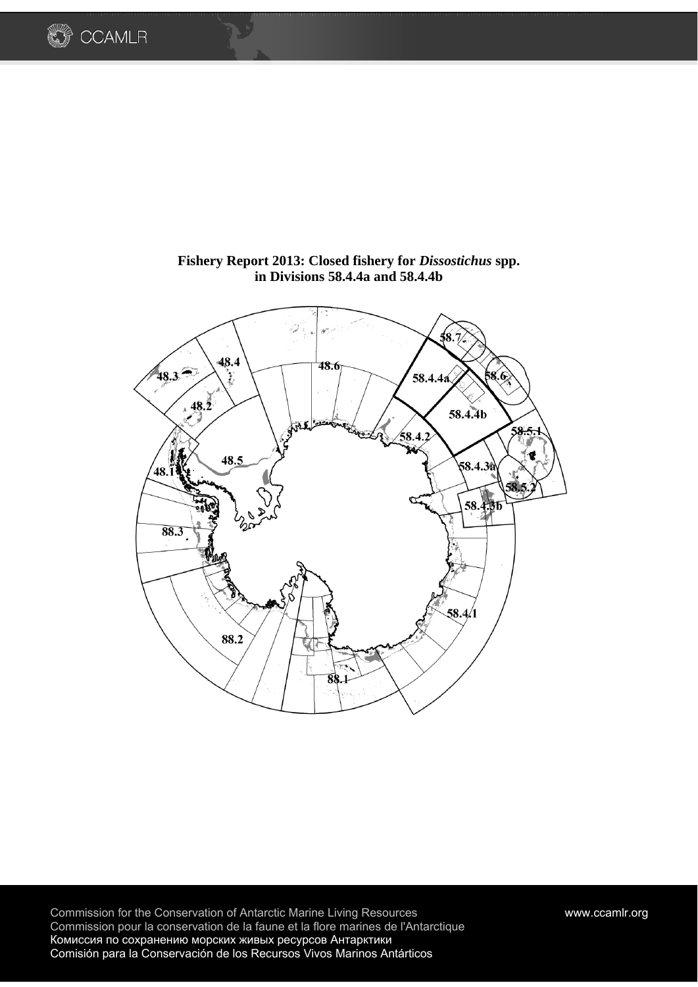



# **Fishery Report 2013: Closed fishery for** *Dissostichus* **spp. in Divisions 58.4.4a and 58.4.4b**

Commission for the Conservation of Antarctic Marine Living Resources www.ccamlr.org Commission pour la conservation de la faune et la flore marines de l'Antarctique Комиссия по сохранению морских живых ресурсов Антарктики Comisión para la Conservación de los Recursos Vivos Marinos Antárticos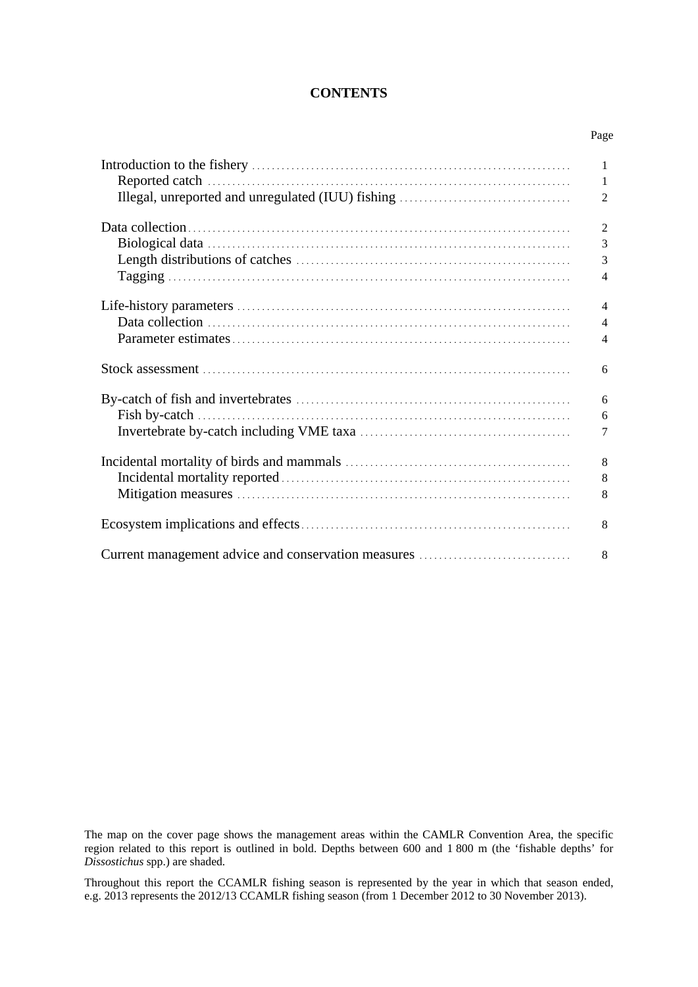### **CONTENTS**

| Page           |
|----------------|
| $\mathbf{1}$   |
| 1              |
| $\overline{2}$ |
| $\overline{2}$ |
| 3              |
| 3              |
| $\overline{4}$ |
| $\overline{4}$ |
| $\overline{4}$ |
| $\overline{4}$ |
| 6              |
| 6              |
| 6              |
| 7              |
| 8              |
| 8              |
| 8              |
| 8              |
| 8              |

The map on the cover page shows the management areas within the CAMLR Convention Area, the specific region related to this report is outlined in bold. Depths between 600 and 1 800 m (the 'fishable depths' for *Dissostichus* spp.) are shaded.

Throughout this report the CCAMLR fishing season is represented by the year in which that season ended, e.g. 2013 represents the 2012/13 CCAMLR fishing season (from 1 December 2012 to 30 November 2013).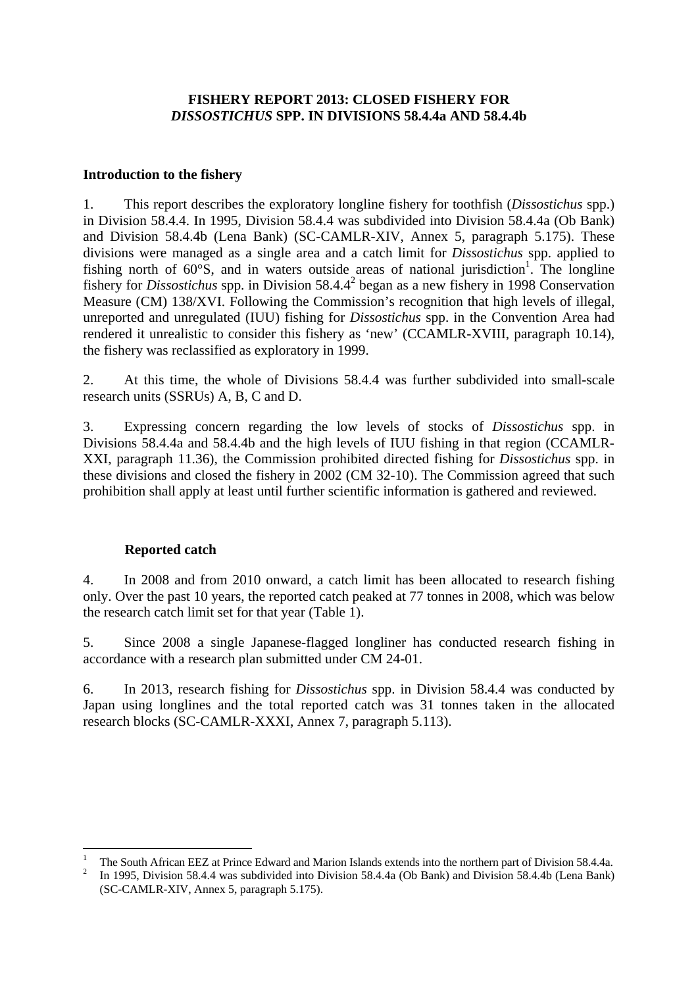## **FISHERY REPORT 2013: CLOSED FISHERY FOR**  *DISSOSTICHUS* **SPP. IN DIVISIONS 58.4.4a AND 58.4.4b**

## **Introduction to the fishery**

1. This report describes the exploratory longline fishery for toothfish (*Dissostichus* spp.) in Division 58.4.4. In 1995, Division 58.4.4 was subdivided into Division 58.4.4a (Ob Bank) and Division 58.4.4b (Lena Bank) (SC-CAMLR-XIV, Annex 5, paragraph 5.175). These divisions were managed as a single area and a catch limit for *Dissostichus* spp. applied to fishing north of  $60^{\circ}$ S, and in waters outside areas of national jurisdiction<sup>1</sup>. The longline fishery for *Dissostichus* spp. in Division 58.4.4<sup>2</sup> began as a new fishery in 1998 Conservation Measure (CM) 138/XVI. Following the Commission's recognition that high levels of illegal, unreported and unregulated (IUU) fishing for *Dissostichus* spp. in the Convention Area had rendered it unrealistic to consider this fishery as 'new' (CCAMLR-XVIII, paragraph 10.14), the fishery was reclassified as exploratory in 1999.

2. At this time, the whole of Divisions 58.4.4 was further subdivided into small-scale research units (SSRUs) A, B, C and D.

3. Expressing concern regarding the low levels of stocks of *Dissostichus* spp. in Divisions 58.4.4a and 58.4.4b and the high levels of IUU fishing in that region (CCAMLR-XXI, paragraph 11.36), the Commission prohibited directed fishing for *Dissostichus* spp. in these divisions and closed the fishery in 2002 (CM 32-10). The Commission agreed that such prohibition shall apply at least until further scientific information is gathered and reviewed.

# **Reported catch**

4. In 2008 and from 2010 onward, a catch limit has been allocated to research fishing only. Over the past 10 years, the reported catch peaked at 77 tonnes in 2008, which was below the research catch limit set for that year (Table 1).

5. Since 2008 a single Japanese-flagged longliner has conducted research fishing in accordance with a research plan submitted under CM 24-01.

6. In 2013, research fishing for *Dissostichus* spp. in Division 58.4.4 was conducted by Japan using longlines and the total reported catch was 31 tonnes taken in the allocated research blocks (SC-CAMLR-XXXI, Annex 7, paragraph 5.113).

<sup>1</sup> 1 The South African EEZ at Prince Edward and Marion Islands extends into the northern part of Division 58.4.4a. 2

In 1995, Division 58.4.4 was subdivided into Division 58.4.4a (Ob Bank) and Division 58.4.4b (Lena Bank) (SC-CAMLR-XIV, Annex 5, paragraph 5.175).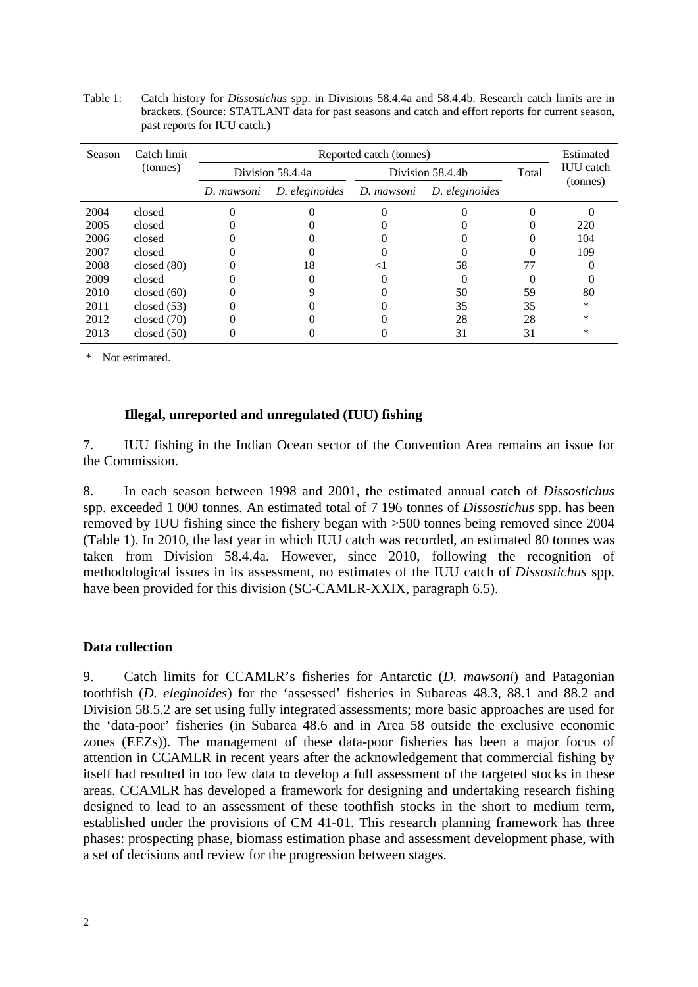Table 1: Catch history for *Dissostichus* spp. in Divisions 58.4.4a and 58.4.4b. Research catch limits are in brackets. (Source: STATLANT data for past seasons and catch and effort reports for current season, past reports for IUU catch.)

| Season | Catch limit   |            | Estimated        |            |                  |       |                              |
|--------|---------------|------------|------------------|------------|------------------|-------|------------------------------|
|        | (tonnes)      |            | Division 58.4.4a |            | Division 58.4.4b | Total | <b>IUU</b> catch<br>(tonnes) |
|        |               | D. mawsoni | D. eleginoides   | D. mawsoni | D. eleginoides   |       |                              |
| 2004   | closed        |            |                  |            |                  |       |                              |
| 2005   | closed        |            |                  |            |                  |       | 220                          |
| 2006   | closed        |            |                  |            |                  |       | 104                          |
| 2007   | closed        |            |                  |            |                  |       | 109                          |
| 2008   | closed $(80)$ |            | 18               |            | 58               | 77    |                              |
| 2009   | closed        |            |                  |            |                  |       |                              |
| 2010   | closed $(60)$ |            |                  |            | 50               | 59    | 80                           |
| 2011   | closed $(53)$ |            |                  |            | 35               | 35    | *                            |
| 2012   | closed $(70)$ |            |                  |            | 28               | 28    | *                            |
| 2013   | closed $(50)$ |            |                  |            | 31               | 31    | ∗                            |

\* Not estimated.

#### **Illegal, unreported and unregulated (IUU) fishing**

7. IUU fishing in the Indian Ocean sector of the Convention Area remains an issue for the Commission.

8. In each season between 1998 and 2001, the estimated annual catch of *Dissostichus* spp. exceeded 1 000 tonnes. An estimated total of 7 196 tonnes of *Dissostichus* spp. has been removed by IUU fishing since the fishery began with >500 tonnes being removed since 2004 (Table 1). In 2010, the last year in which IUU catch was recorded, an estimated 80 tonnes was taken from Division 58.4.4a. However, since 2010, following the recognition of methodological issues in its assessment, no estimates of the IUU catch of *Dissostichus* spp. have been provided for this division (SC-CAMLR-XXIX, paragraph 6.5).

#### **Data collection**

9. Catch limits for CCAMLR's fisheries for Antarctic (*D. mawsoni*) and Patagonian toothfish (*D. eleginoides*) for the 'assessed' fisheries in Subareas 48.3, 88.1 and 88.2 and Division 58.5.2 are set using fully integrated assessments; more basic approaches are used for the 'data-poor' fisheries (in Subarea 48.6 and in Area 58 outside the exclusive economic zones (EEZs)). The management of these data-poor fisheries has been a major focus of attention in CCAMLR in recent years after the acknowledgement that commercial fishing by itself had resulted in too few data to develop a full assessment of the targeted stocks in these areas. CCAMLR has developed a framework for designing and undertaking research fishing designed to lead to an assessment of these toothfish stocks in the short to medium term, established under the provisions of CM 41-01. This research planning framework has three phases: prospecting phase, biomass estimation phase and assessment development phase, with a set of decisions and review for the progression between stages.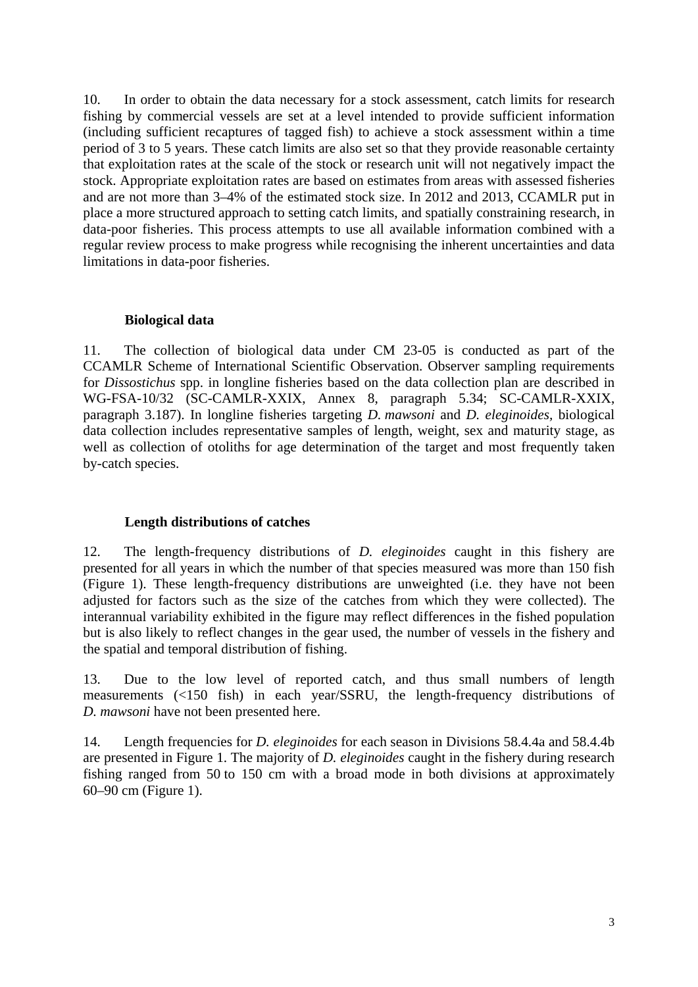10. In order to obtain the data necessary for a stock assessment, catch limits for research fishing by commercial vessels are set at a level intended to provide sufficient information (including sufficient recaptures of tagged fish) to achieve a stock assessment within a time period of 3 to 5 years. These catch limits are also set so that they provide reasonable certainty that exploitation rates at the scale of the stock or research unit will not negatively impact the stock. Appropriate exploitation rates are based on estimates from areas with assessed fisheries and are not more than 3–4% of the estimated stock size. In 2012 and 2013, CCAMLR put in place a more structured approach to setting catch limits, and spatially constraining research, in data-poor fisheries. This process attempts to use all available information combined with a regular review process to make progress while recognising the inherent uncertainties and data limitations in data-poor fisheries.

#### **Biological data**

11. The collection of biological data under CM 23-05 is conducted as part of the CCAMLR Scheme of International Scientific Observation. Observer sampling requirements for *Dissostichus* spp. in longline fisheries based on the data collection plan are described in WG-FSA-10/32 (SC-CAMLR-XXIX, Annex 8, paragraph 5.34; SC-CAMLR-XXIX, paragraph 3.187). In longline fisheries targeting *D. mawsoni* and *D. eleginoides,* biological data collection includes representative samples of length, weight, sex and maturity stage, as well as collection of otoliths for age determination of the target and most frequently taken by-catch species.

### **Length distributions of catches**

12. The length-frequency distributions of *D. eleginoides* caught in this fishery are presented for all years in which the number of that species measured was more than 150 fish (Figure 1). These length-frequency distributions are unweighted (i.e. they have not been adjusted for factors such as the size of the catches from which they were collected). The interannual variability exhibited in the figure may reflect differences in the fished population but is also likely to reflect changes in the gear used, the number of vessels in the fishery and the spatial and temporal distribution of fishing.

13. Due to the low level of reported catch, and thus small numbers of length measurements (<150 fish) in each year/SSRU, the length-frequency distributions of *D. mawsoni* have not been presented here.

14. Length frequencies for *D. eleginoides* for each season in Divisions 58.4.4a and 58.4.4b are presented in Figure 1. The majority of *D. eleginoides* caught in the fishery during research fishing ranged from 50 to 150 cm with a broad mode in both divisions at approximately 60–90 cm (Figure 1).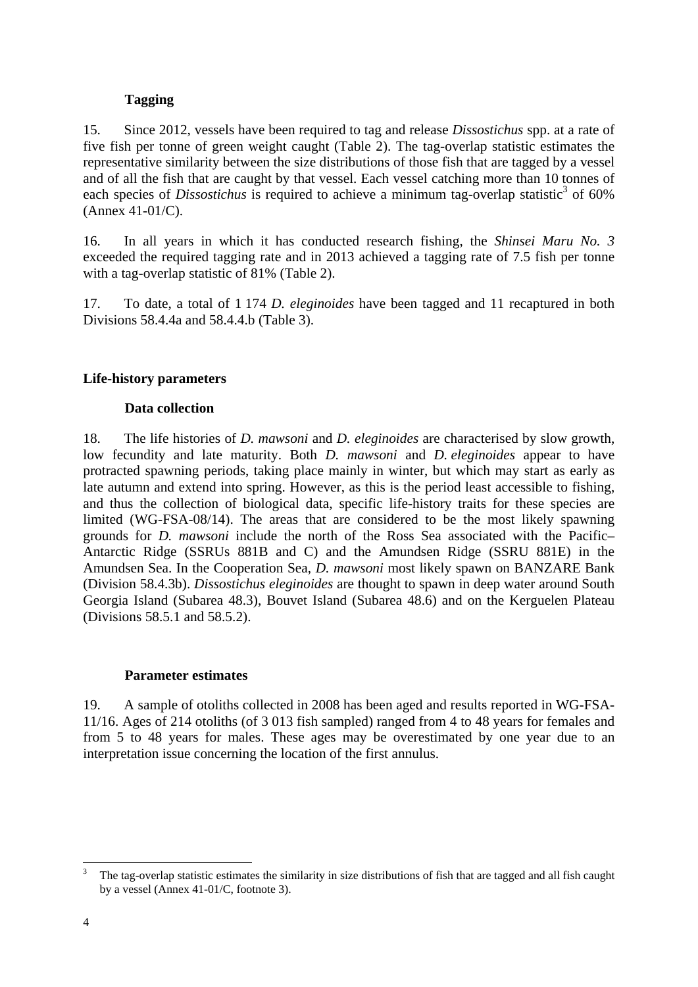# **Tagging**

15. Since 2012, vessels have been required to tag and release *Dissostichus* spp. at a rate of five fish per tonne of green weight caught (Table 2). The tag-overlap statistic estimates the representative similarity between the size distributions of those fish that are tagged by a vessel and of all the fish that are caught by that vessel. Each vessel catching more than 10 tonnes of each species of *Dissostichus* is required to achieve a minimum tag-overlap statistic<sup>3</sup> of 60% (Annex 41-01/C).

16. In all years in which it has conducted research fishing, the *Shinsei Maru No. 3*  exceeded the required tagging rate and in 2013 achieved a tagging rate of 7.5 fish per tonne with a tag-overlap statistic of 81% (Table 2).

17. To date, a total of 1 174 *D. eleginoides* have been tagged and 11 recaptured in both Divisions 58.4.4a and 58.4.4.b (Table 3).

## **Life-history parameters**

### **Data collection**

18. The life histories of *D. mawsoni* and *D. eleginoides* are characterised by slow growth, low fecundity and late maturity. Both *D. mawsoni* and *D. eleginoides* appear to have protracted spawning periods, taking place mainly in winter, but which may start as early as late autumn and extend into spring. However, as this is the period least accessible to fishing, and thus the collection of biological data, specific life-history traits for these species are limited (WG-FSA-08/14). The areas that are considered to be the most likely spawning grounds for *D. mawsoni* include the north of the Ross Sea associated with the Pacific– Antarctic Ridge (SSRUs 881B and C) and the Amundsen Ridge (SSRU 881E) in the Amundsen Sea. In the Cooperation Sea, *D. mawsoni* most likely spawn on BANZARE Bank (Division 58.4.3b). *Dissostichus eleginoides* are thought to spawn in deep water around South Georgia Island (Subarea 48.3), Bouvet Island (Subarea 48.6) and on the Kerguelen Plateau (Divisions 58.5.1 and 58.5.2).

# **Parameter estimates**

19. A sample of otoliths collected in 2008 has been aged and results reported in WG-FSA-11/16. Ages of 214 otoliths (of 3 013 fish sampled) ranged from 4 to 48 years for females and from 5 to 48 years for males. These ages may be overestimated by one year due to an interpretation issue concerning the location of the first annulus.

1

<sup>3</sup> The tag-overlap statistic estimates the similarity in size distributions of fish that are tagged and all fish caught by a vessel (Annex 41-01/C, footnote 3).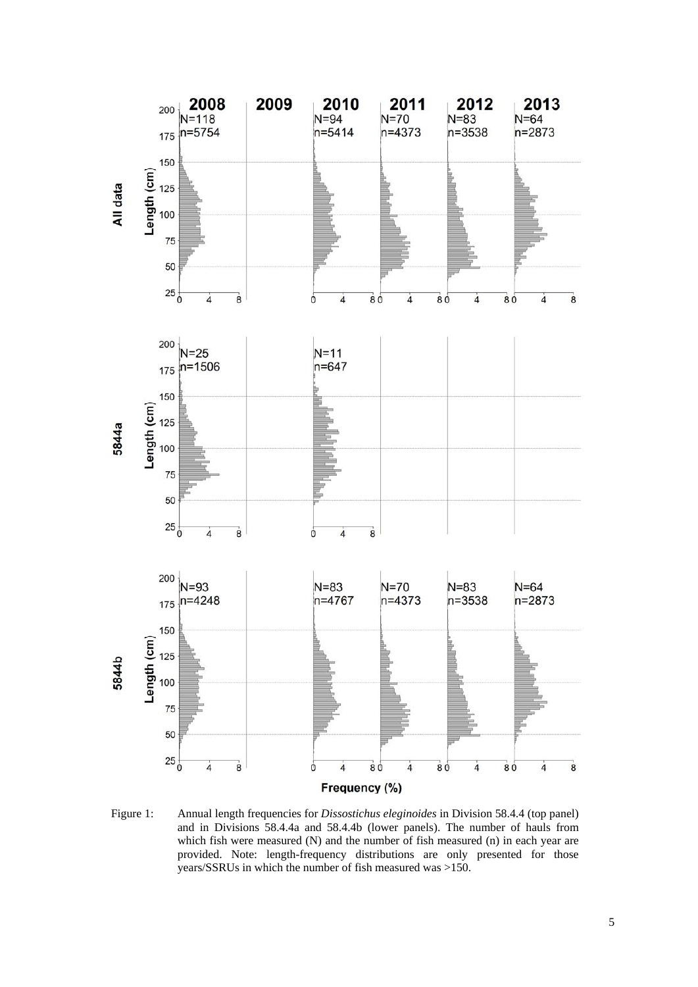

Figure 1: Annual length frequencies for *Dissostichus eleginoides* in Division 58.4.4 (top panel) and in Divisions 58.4.4a and 58.4.4b (lower panels). The number of hauls from which fish were measured (N) and the number of fish measured (n) in each year are provided. Note: length-frequency distributions are only presented for those years/SSRUs in which the number of fish measured was >150.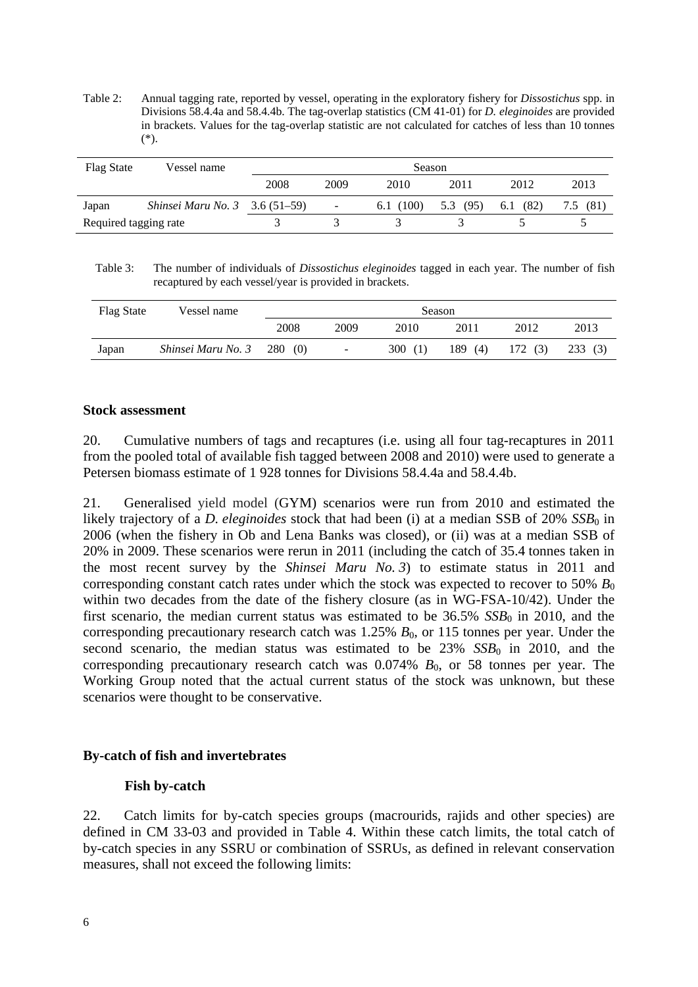Table 2: Annual tagging rate, reported by vessel, operating in the exploratory fishery for *Dissostichus* spp. in Divisions 58.4.4a and 58.4.4b. The tag-overlap statistics (CM 41-01) for *D. eleginoides* are provided in brackets. Values for the tag-overlap statistic are not calculated for catches of less than 10 tonnes (\*).

| Flag State            | Vessel name                           | Season |                          |          |             |             |      |  |
|-----------------------|---------------------------------------|--------|--------------------------|----------|-------------|-------------|------|--|
|                       |                                       | 2008   | 2009                     | 2010     | 2011        | 2012        | 2013 |  |
| Japan                 | <i>Shinsei Maru No.</i> 3 3.6 (51–59) |        | $\overline{\phantom{a}}$ | 6.1(100) | (95)<br>5.3 | (82)<br>6.1 | (81) |  |
| Required tagging rate |                                       |        |                          |          |             |             |      |  |

Table 3: The number of individuals of *Dissostichus eleginoides* tagged in each year. The number of fish recaptured by each vessel/year is provided in brackets.

| <b>Flag State</b> | Vessel name                         | Season |                          |        |            |        |        |  |
|-------------------|-------------------------------------|--------|--------------------------|--------|------------|--------|--------|--|
|                   |                                     | 2008   | 2009                     | 2010   | 2011       | 2012   | 2013   |  |
| Japan             | <i>Shinsei Maru No.</i> $3$ 280 (0) |        | $\overline{\phantom{a}}$ | 300(1) | 189<br>(4) | 172(3) | 233(3) |  |

### **Stock assessment**

20. Cumulative numbers of tags and recaptures (i.e. using all four tag-recaptures in 2011 from the pooled total of available fish tagged between 2008 and 2010) were used to generate a Petersen biomass estimate of 1 928 tonnes for Divisions 58.4.4a and 58.4.4b.

21. Generalised yield model (GYM) scenarios were run from 2010 and estimated the likely trajectory of a *D. eleginoides* stock that had been (i) at a median SSB of 20% *SSB*<sub>0</sub> in 2006 (when the fishery in Ob and Lena Banks was closed), or (ii) was at a median SSB of 20% in 2009. These scenarios were rerun in 2011 (including the catch of 35.4 tonnes taken in the most recent survey by the *Shinsei Maru No. 3*) to estimate status in 2011 and corresponding constant catch rates under which the stock was expected to recover to 50%  $B_0$ within two decades from the date of the fishery closure (as in WG-FSA-10/42). Under the first scenario, the median current status was estimated to be  $36.5\%$  *SSB*<sub>0</sub> in 2010, and the corresponding precautionary research catch was  $1.25\%$   $B_0$ , or 115 tonnes per year. Under the second scenario, the median status was estimated to be  $23\%$   $SSB<sub>0</sub>$  in 2010, and the corresponding precautionary research catch was  $0.074\%$   $B_0$ , or 58 tonnes per year. The Working Group noted that the actual current status of the stock was unknown, but these scenarios were thought to be conservative.

### **By-catch of fish and invertebrates**

### **Fish by-catch**

22. Catch limits for by-catch species groups (macrourids, rajids and other species) are defined in CM 33-03 and provided in Table 4. Within these catch limits, the total catch of by-catch species in any SSRU or combination of SSRUs, as defined in relevant conservation measures, shall not exceed the following limits: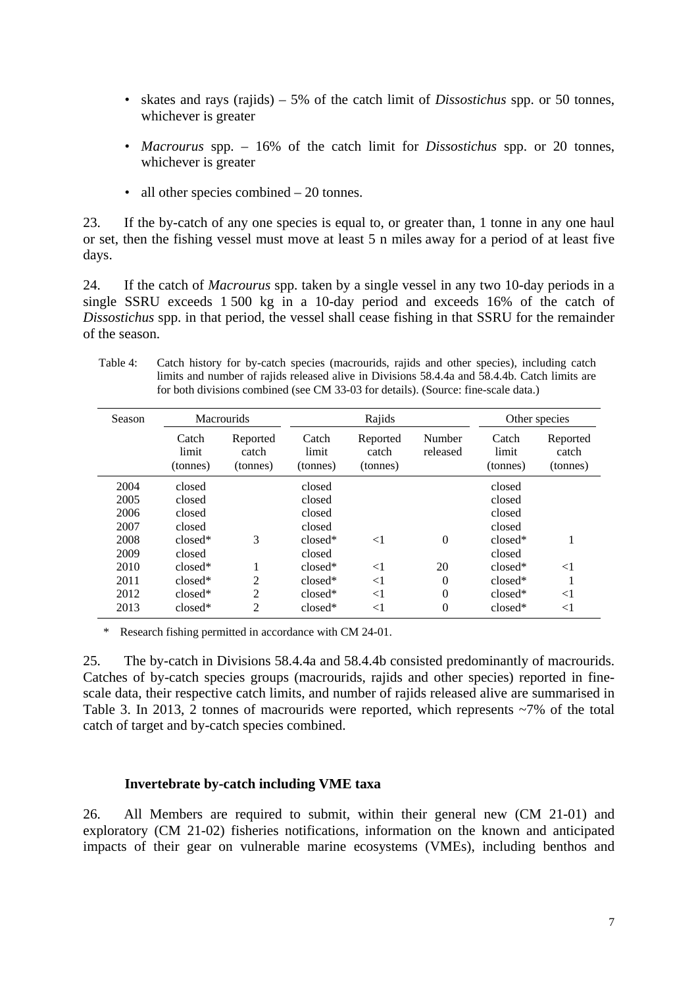- skates and rays (rajids) 5% of the catch limit of *Dissostichus* spp. or 50 tonnes, whichever is greater
- *Macrourus* spp. 16% of the catch limit for *Dissostichus* spp. or 20 tonnes, whichever is greater
- all other species combined 20 tonnes.

23. If the by-catch of any one species is equal to, or greater than, 1 tonne in any one haul or set, then the fishing vessel must move at least 5 n miles away for a period of at least five days.

24. If the catch of *Macrourus* spp. taken by a single vessel in any two 10-day periods in a single SSRU exceeds 1 500 kg in a 10-day period and exceeds 16% of the catch of *Dissostichus* spp. in that period, the vessel shall cease fishing in that SSRU for the remainder of the season.

Table 4: Catch history for by-catch species (macrourids, rajids and other species), including catch limits and number of rajids released alive in Divisions 58.4.4a and 58.4.4b. Catch limits are for both divisions combined (see CM 33-03 for details). (Source: fine-scale data.)

| Season | <b>Macrourids</b>          |                               |                            | Rajids                        | Other species      |                            |                               |
|--------|----------------------------|-------------------------------|----------------------------|-------------------------------|--------------------|----------------------------|-------------------------------|
|        | Catch<br>limit<br>(tonnes) | Reported<br>catch<br>(tonnes) | Catch<br>limit<br>(tonnes) | Reported<br>catch<br>(tonnes) | Number<br>released | Catch<br>limit<br>(tonnes) | Reported<br>catch<br>(tonnes) |
| 2004   | closed                     |                               | closed                     |                               |                    | closed                     |                               |
| 2005   | closed                     |                               | closed                     |                               |                    | closed                     |                               |
| 2006   | closed                     |                               | closed                     |                               |                    | closed                     |                               |
| 2007   | closed                     |                               | closed                     |                               |                    | closed                     |                               |
| 2008   | $closed*$                  | 3                             | $closed*$                  | $<$ 1                         | $\theta$           | $closed*$                  |                               |
| 2009   | closed                     |                               | closed                     |                               |                    | closed                     |                               |
| 2010   | $closed*$                  |                               | $closed*$                  | $\leq$ 1                      | 20                 | $closed*$                  | $<$ 1                         |
| 2011   | $closed*$                  | 2                             | $closed*$                  | $\leq$ 1                      | $\overline{0}$     | $closed*$                  |                               |
| 2012   | $closed*$                  | 2                             | $closed*$                  | $\leq$ 1                      | $\theta$           | $closed*$                  | $<$ 1                         |
| 2013   | $closed*$                  | 2                             | $closed*$                  | $<$ 1                         | $\overline{0}$     | $closed*$                  | $<$ 1                         |

Research fishing permitted in accordance with CM 24-01.

25. The by-catch in Divisions 58.4.4a and 58.4.4b consisted predominantly of macrourids. Catches of by-catch species groups (macrourids, rajids and other species) reported in finescale data, their respective catch limits, and number of rajids released alive are summarised in Table 3. In 2013, 2 tonnes of macrourids were reported, which represents ~7% of the total catch of target and by-catch species combined.

#### **Invertebrate by-catch including VME taxa**

26. All Members are required to submit, within their general new (CM 21-01) and exploratory (CM 21-02) fisheries notifications, information on the known and anticipated impacts of their gear on vulnerable marine ecosystems (VMEs), including benthos and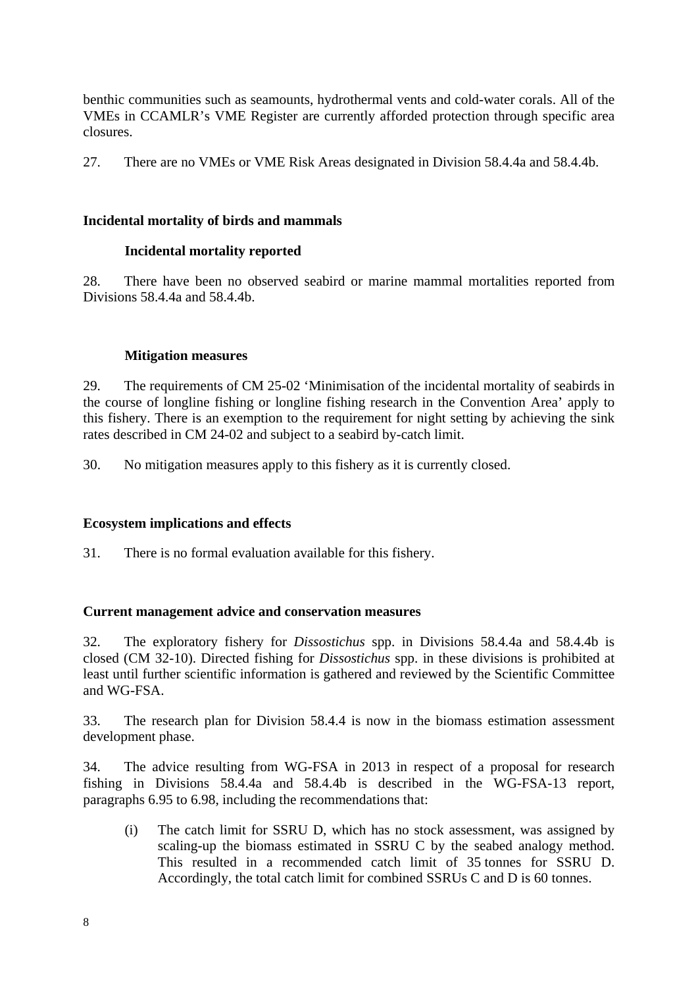benthic communities such as seamounts, hydrothermal vents and cold-water corals. All of the VMEs in CCAMLR's VME Register are currently afforded protection through specific area closures.

27. There are no VMEs or VME Risk Areas designated in Division 58.4.4a and 58.4.4b.

### **Incidental mortality of birds and mammals**

## **Incidental mortality reported**

28. There have been no observed seabird or marine mammal mortalities reported from Divisions 58.4.4a and 58.4.4b.

### **Mitigation measures**

29. The requirements of CM 25-02 'Minimisation of the incidental mortality of seabirds in the course of longline fishing or longline fishing research in the Convention Area' apply to this fishery. There is an exemption to the requirement for night setting by achieving the sink rates described in CM 24-02 and subject to a seabird by-catch limit.

30. No mitigation measures apply to this fishery as it is currently closed.

### **Ecosystem implications and effects**

31. There is no formal evaluation available for this fishery.

### **Current management advice and conservation measures**

32. The exploratory fishery for *Dissostichus* spp. in Divisions 58.4.4a and 58.4.4b is closed (CM 32-10). Directed fishing for *Dissostichus* spp. in these divisions is prohibited at least until further scientific information is gathered and reviewed by the Scientific Committee and WG-FSA.

33. The research plan for Division 58.4.4 is now in the biomass estimation assessment development phase.

34. The advice resulting from WG-FSA in 2013 in respect of a proposal for research fishing in Divisions 58.4.4a and 58.4.4b is described in the WG-FSA-13 report, paragraphs 6.95 to 6.98, including the recommendations that:

(i) The catch limit for SSRU D, which has no stock assessment, was assigned by scaling-up the biomass estimated in SSRU C by the seabed analogy method. This resulted in a recommended catch limit of 35 tonnes for SSRU D. Accordingly, the total catch limit for combined SSRUs C and D is 60 tonnes.